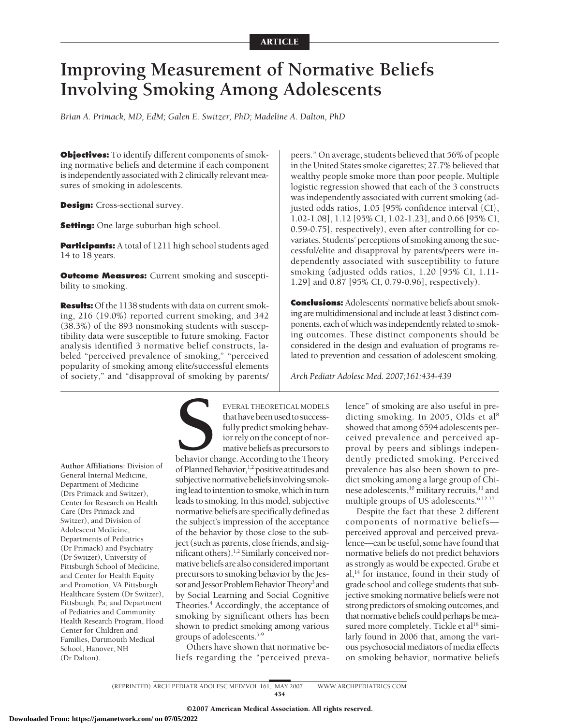# **Improving Measurement of Normative Beliefs Involving Smoking Among Adolescents**

*Brian A. Primack, MD, EdM; Galen E. Switzer, PhD; Madeline A. Dalton, PhD*

**Objectives:** To identify different components of smoking normative beliefs and determine if each component is independently associated with 2 clinically relevant measures of smoking in adolescents.

**Design:** Cross-sectional survey.

**Setting:** One large suburban high school.

**Participants:** A total of 1211 high school students aged 14 to 18 years.

**Outcome Measures:** Current smoking and susceptibility to smoking.

**Results:** Of the 1138 students with data on current smoking, 216 (19.0%) reported current smoking, and 342 (38.3%) of the 893 nonsmoking students with susceptibility data were susceptible to future smoking. Factor analysis identified 3 normative belief constructs, labeled "perceived prevalence of smoking," "perceived popularity of smoking among elite/successful elements of society," and "disapproval of smoking by parents/

peers." On average, students believed that 56% of people in the United States smoke cigarettes; 27.7% believed that wealthy people smoke more than poor people. Multiple logistic regression showed that each of the 3 constructs was independently associated with current smoking (adjusted odds ratios, 1.05 [95% confidence interval {CI}, 1.02-1.08], 1.12 [95% CI, 1.02-1.23], and 0.66 [95% CI, 0.59-0.75], respectively), even after controlling for covariates. Students' perceptions of smoking among the successful/elite and disapproval by parents/peers were independently associated with susceptibility to future smoking (adjusted odds ratios, 1.20 [95% CI, 1.11- 1.29] and 0.87 [95% CI, 0.79-0.96], respectively).

**Conclusions:** Adolescents' normative beliefs about smoking are multidimensional and include at least 3 distinct components, each of which was independently related to smoking outcomes. These distinct components should be considered in the design and evaluation of programs related to prevention and cessation of adolescent smoking.

*Arch Pediatr Adolesc Med. 2007;161:434-439*

**Author Affiliations:** Division of General Internal Medicine, Department of Medicine (Drs Primack and Switzer), Center for Research on Health Care (Drs Primack and Switzer), and Division of Adolescent Medicine, Departments of Pediatrics (Dr Primack) and Psychiatry (Dr Switzer), University of Pittsburgh School of Medicine, and Center for Health Equity and Promotion, VA Pittsburgh Healthcare System (Dr Switzer), Pittsburgh, Pa; and Department of Pediatrics and Community Health Research Program, Hood Center for Children and Families, Dartmouth Medical School, Hanover, NH (Dr Dalton).

EVERAL THEORETICAL MODELS<br>
that have been used to success-<br>
fully predict smoking behavior<br>
ior rely on the concept of nor-<br>
mative beliefs as precursors to<br>
behavior change. According to the Theory<br>
of Planned Behavior  $\$ that have been used to successfully predict smoking behavior rely on the concept of normative beliefs as precursors to of Planned Behavior,<sup>1,2</sup> positive attitudes and subjective normative beliefs involving smoking lead to intention to smoke, which in turn leads to smoking. In this model, subjective normative beliefs are specifically defined as the subject's impression of the acceptance of the behavior by those close to the subject (such as parents, close friends, and significant others).1,2 Similarly conceived normative beliefs are also consideredimportant precursors to smoking behavior by the Jessor and Jessor Problem Behavior Theory<sup>3</sup> and by Social Learning and Social Cognitive Theories.<sup>4</sup> Accordingly, the acceptance of smoking by significant others has been shown to predict smoking among various groups of adolescents.<sup>5-9</sup>

Others have shown that normative beliefs regarding the "perceived prevalence" of smoking are also useful in predicting smoking. In 2005, Olds et al<sup>8</sup> showed that among 6594 adolescents perceived prevalence and perceived approval by peers and siblings independently predicted smoking. Perceived prevalence has also been shown to predict smoking among a large group of Chinese adolescents,<sup>10</sup> military recruits,<sup>11</sup> and multiple groups of US adolescents.<sup>6,12-17</sup>

Despite the fact that these 2 different components of normative beliefs perceived approval and perceived prevalence—can be useful, some have found that normative beliefs do not predict behaviors as strongly as would be expected. Grube et  $al$ ,<sup>14</sup> for instance, found in their study of grade school and college students that subjective smoking normative beliefs were not strong predictors of smoking outcomes, and that normative beliefs could perhaps bemeasured more completely. Tickle et al<sup>18</sup> similarly found in 2006 that, among the various psychosocial mediators of media effects on smoking behavior, normative beliefs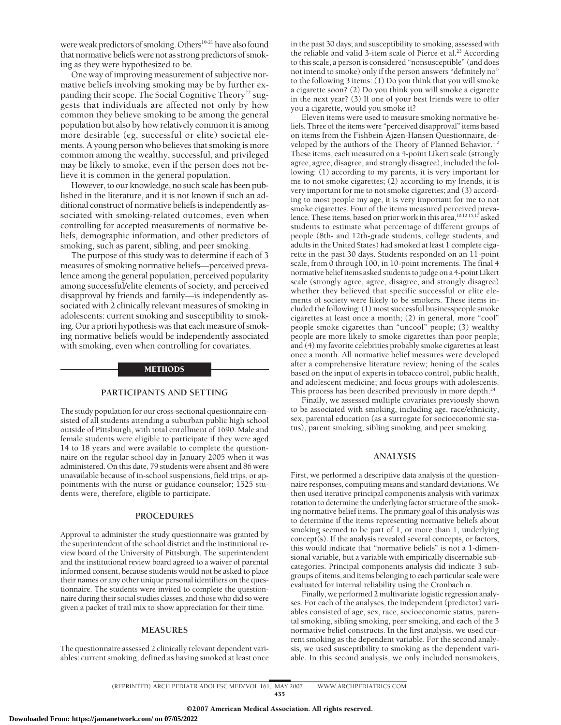were weak predictors of smoking. Others<sup>19-21</sup> have also found that normative beliefs were not as strong predictors of smoking as they were hypothesized to be.

One way of improving measurement of subjective normative beliefs involving smoking may be by further expanding their scope. The Social Cognitive Theory<sup>22</sup> suggests that individuals are affected not only by how common they believe smoking to be among the general population but also by how relatively common it is among more desirable (eg, successful or elite) societal elements. A young person who believes that smoking is more common among the wealthy, successful, and privileged may be likely to smoke, even if the person does not believe it is common in the general population.

However, to our knowledge, no such scale has been published in the literature, and it is not known if such an additional construct of normative beliefs is independently associated with smoking-related outcomes, even when controlling for accepted measurements of normative beliefs, demographic information, and other predictors of smoking, such as parent, sibling, and peer smoking.

The purpose of this study was to determine if each of 3 measures of smoking normative beliefs—perceived prevalence among the general population, perceived popularity among successful/elite elements of society, and perceived disapproval by friends and family—is independently associated with 2 clinically relevant measures of smoking in adolescents: current smoking and susceptibility to smoking. Our a priori hypothesis was that each measure of smoking normative beliefs would be independently associated with smoking, even when controlling for covariates.

#### METHODS

# **PARTICIPANTS AND SETTING**

The study population for our cross-sectional questionnaire consisted of all students attending a suburban public high school outside of Pittsburgh, with total enrollment of 1690. Male and female students were eligible to participate if they were aged 14 to 18 years and were available to complete the questionnaire on the regular school day in January 2005 when it was administered. On this date, 79 students were absent and 86 were unavailable because of in-school suspensions, field trips, or appointments with the nurse or guidance counselor; 1525 students were, therefore, eligible to participate.

#### **PROCEDURES**

Approval to administer the study questionnaire was granted by the superintendent of the school district and the institutional review board of the University of Pittsburgh. The superintendent and the institutional review board agreed to a waiver of parental informed consent, because students would not be asked to place their names or any other unique personal identifiers on the questionnaire. The students were invited to complete the questionnaire during their social studies classes, and those who did so were given a packet of trail mix to show appreciation for their time.

#### **MEASURES**

The questionnaire assessed 2 clinically relevant dependent variables: current smoking, defined as having smoked at least once

in the past 30 days; and susceptibility to smoking, assessed with the reliable and valid 3-item scale of Pierce et al.<sup>23</sup> According to this scale, a person is considered "nonsusceptible" (and does not intend to smoke) only if the person answers "definitely no" to the following 3 items: (1) Do you think that you will smoke a cigarette soon? (2) Do you think you will smoke a cigarette in the next year? (3) If one of your best friends were to offer you a cigarette, would you smoke it?

Eleven items were used to measure smoking normative beliefs. Three of the items were "perceived disapproval" items based on items from the Fishbein-Ajzen-Hansen Questionnaire, developed by the authors of the Theory of Planned Behavior.<sup>1,2</sup> These items, each measured on a 4-point Likert scale (strongly agree, agree, disagree, and strongly disagree), included the following: (1) according to my parents, it is very important for me to not smoke cigarettes; (2) according to my friends, it is very important for me to not smoke cigarettes; and (3) according to most people my age, it is very important for me to not smoke cigarettes. Four of the items measured perceived prevalence. These items, based on prior work in this area, <sup>10,12,15,17</sup> asked students to estimate what percentage of different groups of people (8th- and 12th-grade students, college students, and adults in the United States) had smoked at least 1 complete cigarette in the past 30 days. Students responded on an 11-point scale, from 0 through 100, in 10-point increments. The final 4 normative belief items asked students to judge on a 4-point Likert scale (strongly agree, agree, disagree, and strongly disagree) whether they believed that specific successful or elite elements of society were likely to be smokers. These items included the following: (1) most successful businesspeople smoke cigarettes at least once a month; (2) in general, more "cool" people smoke cigarettes than "uncool" people; (3) wealthy people are more likely to smoke cigarettes than poor people; and (4) my favorite celebrities probably smoke cigarettes at least once a month. All normative belief measures were developed after a comprehensive literature review; honing of the scales based on the input of experts in tobacco control, public health, and adolescent medicine; and focus groups with adolescents. This process has been described previously in more depth.<sup>24</sup>

Finally, we assessed multiple covariates previously shown to be associated with smoking, including age, race/ethnicity, sex, parental education (as a surrogate for socioeconomic status), parent smoking, sibling smoking, and peer smoking.

## **ANALYSIS**

First, we performed a descriptive data analysis of the questionnaire responses, computing means and standard deviations. We then used iterative principal components analysis with varimax rotation to determine the underlying factor structure of the smoking normative belief items. The primary goal of this analysis was to determine if the items representing normative beliefs about smoking seemed to be part of 1, or more than 1, underlying concept(s). If the analysis revealed several concepts, or factors, this would indicate that "normative beliefs" is not a 1-dimensional variable, but a variable with empirically discernable subcategories. Principal components analysis did indicate 3 subgroups of items, and items belonging to each particular scale were evaluated for internal reliability using the Cronbach  $\alpha$ .

Finally, we performed 2 multivariate logistic regression analyses. For each of the analyses, the independent (predictor) variables consisted of age, sex, race, socioeconomic status, parental smoking, sibling smoking, peer smoking, and each of the 3 normative belief constructs. In the first analysis, we used current smoking as the dependent variable. For the second analysis, we used susceptibility to smoking as the dependent variable. In this second analysis, we only included nonsmokers,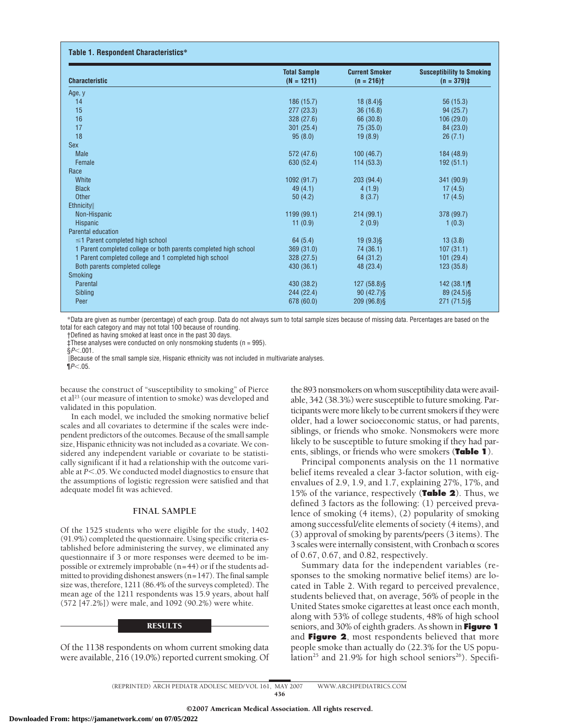| <b>Characteristic</b>                                            | <b>Total Sample</b><br>$(N = 1211)$ | <b>Current Smoker</b><br>$(n = 216)$ <sup>+</sup> | <b>Susceptibility to Smoking</b><br>$(n = 379)$ ‡ |
|------------------------------------------------------------------|-------------------------------------|---------------------------------------------------|---------------------------------------------------|
| Age, y                                                           |                                     |                                                   |                                                   |
| 14                                                               | 186 (15.7)                          | $18(8.4)$ §                                       | 56 (15.3)                                         |
| 15                                                               | 277(23.3)                           | 36(16.8)                                          | 94(25.7)                                          |
| 16                                                               | 328 (27.6)                          | 66 (30.8)                                         | 106(29.0)                                         |
| 17                                                               | 301(25.4)                           | 75 (35.0)                                         | 84 (23.0)                                         |
| 18                                                               | 95(8.0)                             | 19(8.9)                                           | 26(7.1)                                           |
| <b>Sex</b>                                                       |                                     |                                                   |                                                   |
| <b>Male</b>                                                      | 572 (47.6)                          | 100(46.7)                                         | 184 (48.9)                                        |
| Female                                                           | 630 (52.4)                          | 114(53.3)                                         | 192(51.1)                                         |
| Race                                                             |                                     |                                                   |                                                   |
| White                                                            | 1092 (91.7)                         | 203(94.4)                                         | 341 (90.9)                                        |
| <b>Black</b>                                                     | 49(4.1)                             | 4(1.9)                                            | 17(4.5)                                           |
| <b>Other</b>                                                     | 50(4.2)                             | 8(3.7)                                            | 17(4.5)                                           |
| <b>Ethnicity</b>                                                 |                                     |                                                   |                                                   |
| Non-Hispanic                                                     | 1199 (99.1)                         | 214(99.1)                                         | 378 (99.7)                                        |
| Hispanic                                                         | 11(0.9)                             | 2(0.9)                                            | 1(0.3)                                            |
| Parental education                                               |                                     |                                                   |                                                   |
| $\leq$ 1 Parent completed high school                            | 64(5.4)                             | $19(9.3)$ §                                       | 13(3.8)                                           |
| 1 Parent completed college or both parents completed high school | 369(31.0)                           | 74 (36.1)                                         | 107(31.1)                                         |
| 1 Parent completed college and 1 completed high school           | 328 (27.5)                          | 64 (31.2)                                         | 101(29.4)                                         |
| Both parents completed college                                   | 430 (36.1)                          | 48 (23.4)                                         | 123(35.8)                                         |
| <b>Smoking</b>                                                   |                                     |                                                   |                                                   |
| Parental                                                         | 430 (38.2)                          | 127 (58.8) §                                      | 142(38.1)                                         |
| Sibling                                                          | 244 (22.4)                          | $90(42.7)$ §                                      | 89 (24.5) §                                       |
| Peer                                                             | 678 (60.0)                          | 209 (96.8) §                                      | 271 (71.5) §                                      |

\*Data are given as number (percentage) of each group. Data do not always sum to total sample sizes because of missing data. Percentages are based on the total for each category and may not total 100 because of rounding.

†Defined as having smoked at least once in the past 30 days.

‡These analyses were conducted on only nonsmoking students (n = 995).

§*P*-.001. Because of the small sample size, Hispanic ethnicity was not included in multivariate analyses.

¶*P*-.05.

because the construct of "susceptibility to smoking" of Pierce et al<sup>23</sup> (our measure of intention to smoke) was developed and validated in this population.

In each model, we included the smoking normative belief scales and all covariates to determine if the scales were independent predictors of the outcomes. Because of the small sample size, Hispanic ethnicity was not included as a covariate. We considered any independent variable or covariate to be statistically significant if it had a relationship with the outcome variable at P<.05. We conducted model diagnostics to ensure that the assumptions of logistic regression were satisfied and that adequate model fit was achieved.

# **FINAL SAMPLE**

Of the 1525 students who were eligible for the study, 1402 (91.9%) completed the questionnaire. Using specific criteria established before administering the survey, we eliminated any questionnaire if 3 or more responses were deemed to be impossible or extremely improbable (n=44) or if the students admitted to providing dishonest answers (n=147). The final sample size was, therefore, 1211 (86.4% of the surveys completed). The mean age of the 1211 respondents was 15.9 years, about half (572 [47.2%]) were male, and 1092 (90.2%) were white.

## RESULTS

Of the 1138 respondents on whom current smoking data were available, 216 (19.0%) reported current smoking. Of

the 893 nonsmokers on whom susceptibility data were available, 342 (38.3%) were susceptible to future smoking. Participants were more likely to be current smokers if they were older, had a lower socioeconomic status, or had parents, siblings, or friends who smoke. Nonsmokers were more likely to be susceptible to future smoking if they had parents, siblings, or friends who were smokers (**Table 1**).

Principal components analysis on the 11 normative belief items revealed a clear 3-factor solution, with eigenvalues of 2.9, 1.9, and 1.7, explaining 27%, 17%, and 15% of the variance, respectively (**Table 2**). Thus, we defined 3 factors as the following: (1) perceived prevalence of smoking (4 items), (2) popularity of smoking among successful/elite elements of society (4 items), and (3) approval of smoking by parents/peers (3 items). The 3 scales were internally consistent, with Cronbach  $\alpha$  scores of 0.67, 0.67, and 0.82, respectively.

Summary data for the independent variables (responses to the smoking normative belief items) are located in Table 2. With regard to perceived prevalence, students believed that, on average, 56% of people in the United States smoke cigarettes at least once each month, along with 53% of college students, 48% of high school seniors, and 30% of eighth graders. As shown in **Figure 1** and **Figure 2**, most respondents believed that more people smoke than actually do (22.3% for the US population<sup>25</sup> and 21.9% for high school seniors<sup>26</sup>). Specifi-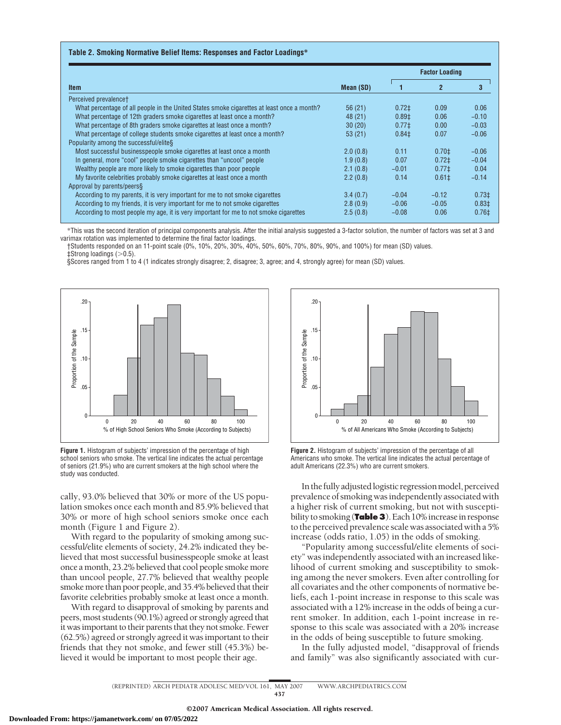## **Table 2. Smoking Normative Belief Items: Responses and Factor Loadings\***

|                                                                                            |           | <b>Factor Loading</b> |                |                   |
|--------------------------------------------------------------------------------------------|-----------|-----------------------|----------------|-------------------|
| <b>Item</b>                                                                                | Mean (SD) |                       | $\overline{2}$ | 3                 |
| Perceived prevalencet                                                                      |           |                       |                |                   |
| What percentage of all people in the United States smoke cigarettes at least once a month? | 56(21)    | 0.72 <sup>±</sup>     | 0.09           | 0.06              |
| What percentage of 12th graders smoke cigarettes at least once a month?                    | 48 (21)   | 0.89 <sup>±</sup>     | 0.06           | $-0.10$           |
| What percentage of 8th graders smoke cigarettes at least once a month?                     | 30(20)    | $0.77\pm$             | 0.00           | $-0.03$           |
| What percentage of college students smoke cigarettes at least once a month?                | 53(21)    | $0.84 \pm$            | 0.07           | $-0.06$           |
| Popularity among the successful/elite§                                                     |           |                       |                |                   |
| Most successful businesspeople smoke cigarettes at least once a month                      | 2.0(0.8)  | 0.11                  | $0.70 \pm$     | $-0.06$           |
| In general, more "cool" people smoke cigarettes than "uncool" people                       | 1.9(0.8)  | 0.07                  | $0.72+$        | $-0.04$           |
| Wealthy people are more likely to smoke cigarettes than poor people                        | 2.1(0.8)  | $-0.01$               | 0.771          | 0.04              |
| My favorite celebrities probably smoke cigarettes at least once a month                    | 2.2(0.8)  | 0.14                  | $0.61 \pm$     | $-0.14$           |
| Approval by parents/peers§                                                                 |           |                       |                |                   |
| According to my parents, it is very important for me to not smoke cigarettes               | 3.4(0.7)  | $-0.04$               | $-0.12$        | $0.73 \pm$        |
| According to my friends, it is very important for me to not smoke cigarettes               | 2.8(0.9)  | $-0.06$               | $-0.05$        | 0.83 <sup>‡</sup> |
| According to most people my age, it is very important for me to not smoke cigarettes       | 2.5(0.8)  | $-0.08$               | 0.06           | $0.76\pm$         |

\*This was the second iteration of principal components analysis. After the initial analysis suggested a 3-factor solution, the number of factors was set at 3 and varimax rotation was implemented to determine the final factor loadings.

†Students responded on an 11-point scale (0%, 10%, 20%, 30%, 40%, 50%, 60%, 70%, 80%, 90%, and 100%) for mean (SD) values.  $\ddagger$ Strong loadings ( $>$ 0.5).

§Scores ranged from 1 to 4 (1 indicates strongly disagree; 2, disagree; 3, agree; and 4, strongly agree) for mean (SD) values.



**Figure 1.** Histogram of subjects' impression of the percentage of high school seniors who smoke. The vertical line indicates the actual percentage of seniors (21.9%) who are current smokers at the high school where the study was conducted.

cally, 93.0% believed that 30% or more of the US population smokes once each month and 85.9% believed that 30% or more of high school seniors smoke once each month (Figure 1 and Figure 2).

With regard to the popularity of smoking among successful/elite elements of society, 24.2% indicated they believed that most successful businesspeople smoke at least once a month, 23.2% believed that cool people smoke more than uncool people, 27.7% believed that wealthy people smoke more than poor people, and 35.4% believed that their favorite celebrities probably smoke at least once a month.

With regard to disapproval of smoking by parents and peers, most students (90.1%) agreed or strongly agreed that it was important to their parents that they not smoke. Fewer (62.5%) agreed or strongly agreed it was important to their friends that they not smoke, and fewer still (45.3%) believed it would be important to most people their age.



**Figure 2.** Histogram of subjects' impression of the percentage of all Americans who smoke. The vertical line indicates the actual percentage of adult Americans (22.3%) who are current smokers.

In thefully adjustedlogistic regressionmodel, perceived prevalence of smoking wasindependently associated with a higher risk of current smoking, but not with susceptibility to smoking (**Table 3**). Each 10% increase in response to the perceived prevalence scale was associated with a 5% increase (odds ratio, 1.05) in the odds of smoking.

"Popularity among successful/elite elements of society" was independently associated with an increased likelihood of current smoking and susceptibility to smoking among the never smokers. Even after controlling for all covariates and the other components of normative beliefs, each 1-point increase in response to this scale was associated with a 12% increase in the odds of being a current smoker. In addition, each 1-point increase in response to this scale was associated with a 20% increase in the odds of being susceptible to future smoking.

In the fully adjusted model, "disapproval of friends and family" was also significantly associated with cur-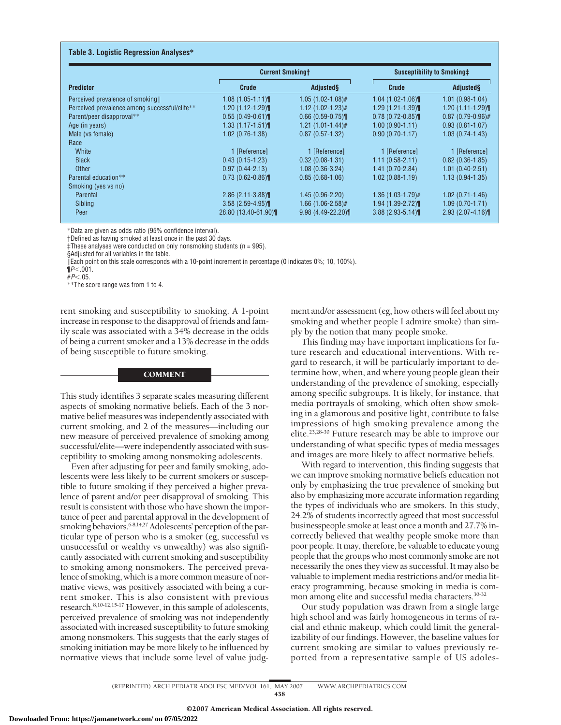#### **Table 3. Logistic Regression Analyses\***

|                                               | <b>Current Smokingt</b> |                       | Susceptibility to Smoking‡ |                     |  |
|-----------------------------------------------|-------------------------|-----------------------|----------------------------|---------------------|--|
| <b>Predictor</b>                              | <b>Crude</b>            | <b>Adjusted</b> §     | Crude                      | Adjusted            |  |
| Perceived prevalence of smoking               | $1.08(1.05 - 1.11)$     | $1.05(1.02-1.08)$ #   | $1.04$ (1.02-1.06)         | $1.01(0.98-1.04)$   |  |
| Perceived prevalence among successful/elite** | $1.20(1.12-1.29)$       | $1.12(1.02 - 1.23)$ # | $1.29(1.21-1.39)$          | $1.20(1.11-1.29)$   |  |
| Parent/peer disapproval**                     | $0.55(0.49-0.61)$       | $0.66$ (0.59-0.75)    | $0.78(0.72 - 0.85)$        | $0.87(0.79-0.96)$ # |  |
| Age (in years)                                | $1.33(1.17 - 1.51)$     | $1.21(1.01-1.44)$ #   | $1.00(0.90-1.11)$          | $0.93(0.81 - 1.07)$ |  |
| Male (vs female)                              | $1.02(0.76 - 1.38)$     | $0.87(0.57 - 1.32)$   | $0.90(0.70 - 1.17)$        | $1.03(0.74-1.43)$   |  |
| Race                                          |                         |                       |                            |                     |  |
| White                                         | 1 [Reference]           | 1 [Reference]         | 1 [Reference]              | 1 [Reference]       |  |
| <b>Black</b>                                  | $0.43(0.15-1.23)$       | $0.32(0.08-1.31)$     | $1.11(0.58-2.11)$          | $0.82(0.36-1.85)$   |  |
| <b>Other</b>                                  | $0.97(0.44 - 2.13)$     | $1.08(0.36-3.24)$     | $1.41(0.70-2.84)$          | $1.01(0.40-2.51)$   |  |
| Parental education**                          | $0.73(0.62 - 0.86)$     | $0.85(0.68-1.06)$     | $1.02(0.88 - 1.19)$        | $1.13(0.94-1.35)$   |  |
| Smoking (yes vs no)                           |                         |                       |                            |                     |  |
| Parental                                      | $2.86(2.11-3.88)$       | $1.45(0.96-2.20)$     | $1.36(1.03-1.79)$ #        | $1.02(0.71 - 1.46)$ |  |
| Sibling                                       | $3.58(2.59 - 4.95)$     | $1.66(1.06-2.58)$ #   | $1.94(1.39-2.72)$          | $1.09(0.70-1.71)$   |  |
| Peer                                          | 28.80 (13.40-61.90)     | $9.98(4.49 - 22.20)$  | $3.88$ (2.93-5.14)         | $2.93(2.07 - 4.16)$ |  |

\*Data are given as odds ratio (95% confidence interval).

†Defined as having smoked at least once in the past 30 days.

 $\ddagger$ These analyses were conducted on only nonsmoking students (n = 995).

§Adjusted for all variables in the table.

Each point on this scale corresponds with a 10-point increment in percentage (0 indicates 0%; 10, 100%).

¶*P*-.001.

#*P*-.05.

\*\*The score range was from 1 to 4.

rent smoking and susceptibility to smoking. A 1-point increase in response to the disapproval of friends and family scale was associated with a 34% decrease in the odds of being a current smoker and a 13% decrease in the odds of being susceptible to future smoking.

### **COMMENT**

This study identifies 3 separate scales measuring different aspects of smoking normative beliefs. Each of the 3 normative belief measures was independently associated with current smoking, and 2 of the measures—including our new measure of perceived prevalence of smoking among successful/elite—were independently associated with susceptibility to smoking among nonsmoking adolescents.

Even after adjusting for peer and family smoking, adolescents were less likely to be current smokers or susceptible to future smoking if they perceived a higher prevalence of parent and/or peer disapproval of smoking. This result is consistent with those who have shown the importance of peer and parental approval in the development of smoking behaviors.<sup>6-8,14,27</sup> Adolescents' perception of the particular type of person who is a smoker (eg, successful vs unsuccessful or wealthy vs unwealthy) was also significantly associated with current smoking and susceptibility to smoking among nonsmokers. The perceived prevalence of smoking, which is a more common measure of normative views, was positively associated with being a current smoker. This is also consistent with previous research.8,10-12,15-17 However, in this sample of adolescents, perceived prevalence of smoking was not independently associated with increased susceptibility to future smoking among nonsmokers. This suggests that the early stages of smoking initiation may be more likely to be influenced by normative views that include some level of value judg-

ment and/or assessment (eg, how others will feel about my smoking and whether people I admire smoke) than simply by the notion that many people smoke.

This finding may have important implications for future research and educational interventions. With regard to research, it will be particularly important to determine how, when, and where young people glean their understanding of the prevalence of smoking, especially among specific subgroups. It is likely, for instance, that media portrayals of smoking, which often show smoking in a glamorous and positive light, contribute to false impressions of high smoking prevalence among the elite.23,28-30 Future research may be able to improve our understanding of what specific types of media messages and images are more likely to affect normative beliefs.

With regard to intervention, this finding suggests that we can improve smoking normative beliefs education not only by emphasizing the true prevalence of smoking but also by emphasizing more accurate information regarding the types of individuals who are smokers. In this study, 24.2% of students incorrectly agreed that most successful businesspeople smoke at least once a month and 27.7% incorrectly believed that wealthy people smoke more than poor people. It may, therefore, be valuable to educate young people that the groups who most commonly smoke are not necessarily the ones they view as successful. It may also be valuable to implement media restrictions and/or media literacy programming, because smoking in media is common among elite and successful media characters.<sup>30-32</sup>

Our study population was drawn from a single large high school and was fairly homogeneous in terms of racial and ethnic makeup, which could limit the generalizability of our findings. However, the baseline values for current smoking are similar to values previously reported from a representative sample of US adoles